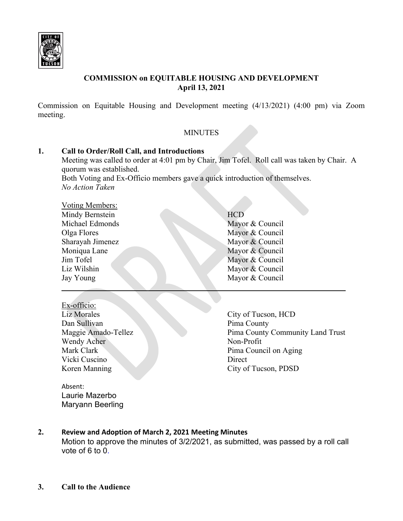

# **COMMISSION on EQUITABLE HOUSING AND DEVELOPMENT April 13, 2021**

Commission on Equitable Housing and Development meeting (4/13/2021) (4:00 pm) via Zoom meeting.

# **MINUTES**

# **1. Call to Order/Roll Call, and Introductions** Meeting was called to order at 4:01 pm by Chair, Jim Tofel. Roll call was taken by Chair. A quorum was established.

Both Voting and Ex-Officio members gave a quick introduction of themselves. *No Action Taken*

| Voting Members:  |                 |
|------------------|-----------------|
| Mindy Bernstein  | <b>HCD</b>      |
| Michael Edmonds  | Mayor & Council |
| Olga Flores      | Mayor & Council |
| Sharayah Jimenez | Mayor & Council |
| Moniqua Lane     | Mayor & Council |
| Jim Tofel        | Mayor & Council |
| Liz Wilshin      | Mayor & Council |
| Jay Young        | Mayor & Council |
|                  |                 |

- Ex-officio: Liz Morales City of Tucson, HCD Dan Sullivan Pima County Wendy Acher Non-Profit Vicki Cuscino Direct
- 
- Maggie Amado-Tellez Pima County Community Land Trust Mark Clark **Pima Council on Aging** Koren Manning City of Tucson, PDSD

Absent: Laurie Mazerbo Maryann Beerling

# **2. Review and Adoption of March 2, 2021 Meeting Minutes**

Motion to approve the minutes of 3/2/2021, as submitted, was passed by a roll call vote of 6 to 0.

**3. Call to the Audience**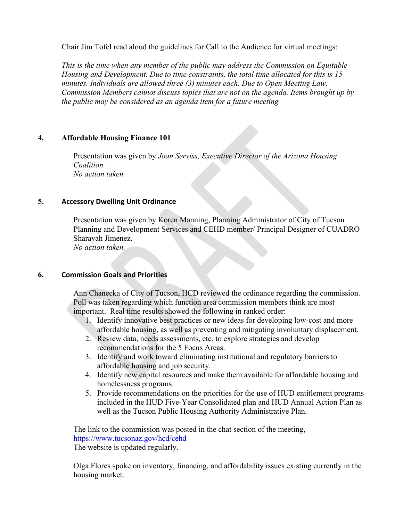Chair Jim Tofel read aloud the guidelines for Call to the Audience for virtual meetings:

*This is the time when any member of the public may address the Commission on Equitable Housing and Development. Due to time constraints, the total time allocated for this is 15 minutes. Individuals are allowed three (3) minutes each. Due to Open Meeting Law, Commission Members cannot discuss topics that are not on the agenda. Items brought up by the public may be considered as an agenda item for a future meeting*

## **4. Affordable Housing Finance 101**

Presentation was given by *Joan Serviss, Executive Director of the Arizona Housing Coalition. No action taken.*

### **5. Accessory Dwelling Unit Ordinance**

Presentation was given by Koren Manning, Planning Administrator of City of Tucson Planning and Development Services and CEHD member/ Principal Designer of CUADRO Sharayah Jimenez. *No action taken.*

### **6. Commission Goals and Priorities**

Ann Chanecka of City of Tucson, HCD reviewed the ordinance regarding the commission. Poll was taken regarding which function area commission members think are most important. Real time results showed the following in ranked order:

- 1. Identify innovative best practices or new ideas for developing low-cost and more affordable housing, as well as preventing and mitigating involuntary displacement.
- 2. Review data, needs assessments, etc. to explore strategies and develop recommendations for the 5 Focus Areas.
- 3. Identify and work toward eliminating institutional and regulatory barriers to affordable housing and job security.
- 4. Identify new capital resources and make them available for affordable housing and homelessness programs.
- 5. Provide recommendations on the priorities for the use of HUD entitlement programs included in the HUD Five-Year Consolidated plan and HUD Annual Action Plan as well as the Tucson Public Housing Authority Administrative Plan.

The link to the commission was posted in the chat section of the meeting, <https://www.tucsonaz.gov/hcd/cehd>

The website is updated regularly.

Olga Flores spoke on inventory, financing, and affordability issues existing currently in the housing market.